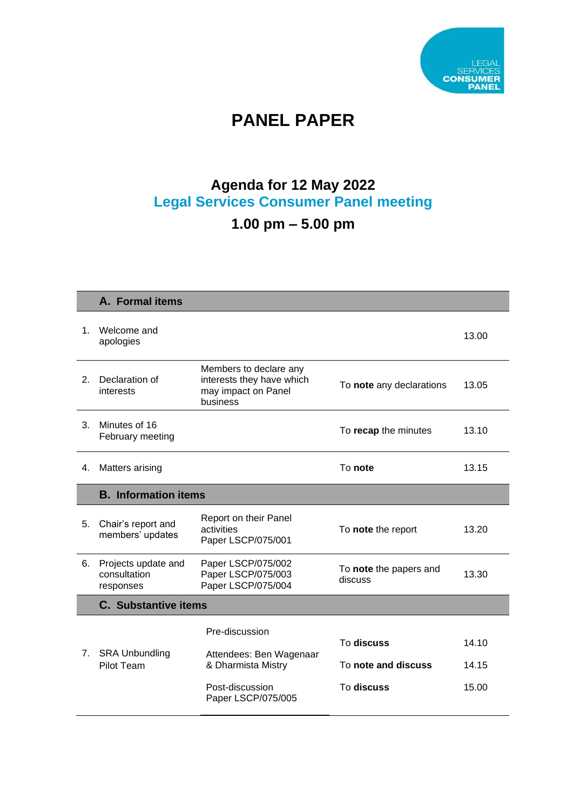

# **PANEL PAPER**

### **Agenda for 12 May 2022 Legal Services Consumer Panel meeting**

## **1.00 pm – 5.00 pm**

|    | A. Formal items                                  |                                                                                        |                                   |                |  |  |
|----|--------------------------------------------------|----------------------------------------------------------------------------------------|-----------------------------------|----------------|--|--|
| 1. | Welcome and<br>apologies                         |                                                                                        |                                   | 13.00          |  |  |
| 2. | Declaration of<br>interests                      | Members to declare any<br>interests they have which<br>may impact on Panel<br>business | To note any declarations          | 13.05          |  |  |
| 3. | Minutes of 16<br>February meeting                |                                                                                        | To recap the minutes              | 13.10          |  |  |
| 4. | Matters arising                                  |                                                                                        | To note                           | 13.15          |  |  |
|    | <b>B.</b> Information items                      |                                                                                        |                                   |                |  |  |
| 5. | Chair's report and<br>members' updates           | Report on their Panel<br>activities<br>Paper LSCP/075/001                              | To note the report                | 13.20          |  |  |
| 6. | Projects update and<br>consultation<br>responses | Paper LSCP/075/002<br>Paper LSCP/075/003<br>Paper LSCP/075/004                         | To note the papers and<br>discuss | 13.30          |  |  |
|    | <b>C.</b> Substantive items                      |                                                                                        |                                   |                |  |  |
| 7. | <b>SRA Unbundling</b><br>Pilot Team              | Pre-discussion<br>Attendees: Ben Wagenaar<br>& Dharmista Mistry                        | To discuss<br>To note and discuss | 14.10<br>14.15 |  |  |
|    |                                                  | Post-discussion<br>Paper LSCP/075/005                                                  | To discuss                        | 15.00          |  |  |